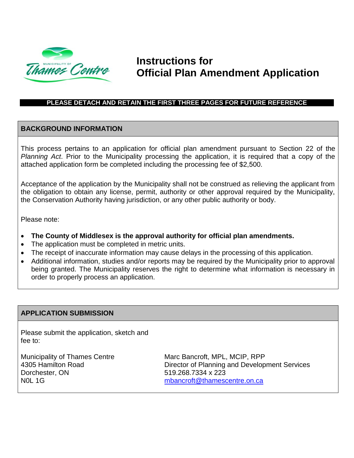

## **Instructions for Official Plan Amendment Application**

#### **PLEASE DETACH AND RETAIN THE FIRST THREE PAGES FOR FUTURE REFERENCE**

#### **BACKGROUND INFORMATION**

This process pertains to an application for official plan amendment pursuant to Section 22 of the *Planning Act*. Prior to the Municipality processing the application, it is required that a copy of the attached application form be completed including the processing fee of \$2,500.

Acceptance of the application by the Municipality shall not be construed as relieving the applicant from the obligation to obtain any license, permit, authority or other approval required by the Municipality, the Conservation Authority having jurisdiction, or any other public authority or body.

Please note:

- **The County of Middlesex is the approval authority for official plan amendments.**
- The application must be completed in metric units.
- The receipt of inaccurate information may cause delays in the processing of this application.
- Additional information, studies and/or reports may be required by the Municipality prior to approval being granted. The Municipality reserves the right to determine what information is necessary in order to properly process an application.

#### **APPLICATION SUBMISSION**

Please submit the application, sketch and fee to:

Municipality of Thames Centre 4305 Hamilton Road Dorchester, ON N0L 1G

Marc Bancroft, MPL, MCIP, RPP Director of Planning and Development Services 519.268.7334 x 223 [mbancroft@thamescentre.on.ca](mailto:mbancroft@thamescentre.on.ca)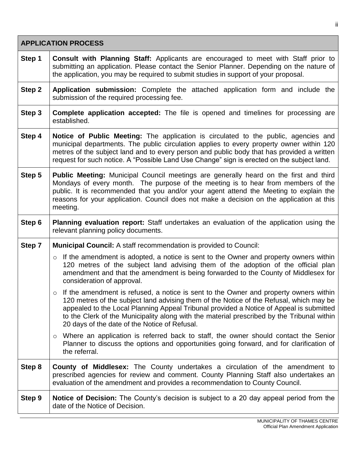| <b>APPLICATION PROCESS</b> |                                                                                                                                                                                                                                                                                                                                                                                                                                 |  |  |  |  |
|----------------------------|---------------------------------------------------------------------------------------------------------------------------------------------------------------------------------------------------------------------------------------------------------------------------------------------------------------------------------------------------------------------------------------------------------------------------------|--|--|--|--|
| Step 1                     | <b>Consult with Planning Staff:</b> Applicants are encouraged to meet with Staff prior to<br>submitting an application. Please contact the Senior Planner. Depending on the nature of<br>the application, you may be required to submit studies in support of your proposal.                                                                                                                                                    |  |  |  |  |
| Step 2                     | Application submission: Complete the attached application form and include the<br>submission of the required processing fee.                                                                                                                                                                                                                                                                                                    |  |  |  |  |
| Step 3                     | <b>Complete application accepted:</b> The file is opened and timelines for processing are<br>established.                                                                                                                                                                                                                                                                                                                       |  |  |  |  |
| Step 4                     | Notice of Public Meeting: The application is circulated to the public, agencies and<br>municipal departments. The public circulation applies to every property owner within 120<br>metres of the subject land and to every person and public body that has provided a written<br>request for such notice. A "Possible Land Use Change" sign is erected on the subject land.                                                     |  |  |  |  |
| Step 5                     | Public Meeting: Municipal Council meetings are generally heard on the first and third<br>Mondays of every month. The purpose of the meeting is to hear from members of the<br>public. It is recommended that you and/or your agent attend the Meeting to explain the<br>reasons for your application. Council does not make a decision on the application at this<br>meeting.                                                   |  |  |  |  |
| Step 6                     | <b>Planning evaluation report:</b> Staff undertakes an evaluation of the application using the<br>relevant planning policy documents.                                                                                                                                                                                                                                                                                           |  |  |  |  |
| Step 7                     | <b>Municipal Council:</b> A staff recommendation is provided to Council:                                                                                                                                                                                                                                                                                                                                                        |  |  |  |  |
|                            | $\circ$ If the amendment is adopted, a notice is sent to the Owner and property owners within<br>120 metres of the subject land advising them of the adoption of the official plan<br>amendment and that the amendment is being forwarded to the County of Middlesex for<br>consideration of approval.                                                                                                                          |  |  |  |  |
|                            | If the amendment is refused, a notice is sent to the Owner and property owners within<br>O<br>120 metres of the subject land advising them of the Notice of the Refusal, which may be<br>appealed to the Local Planning Appeal Tribunal provided a Notice of Appeal is submitted<br>to the Clerk of the Municipality along with the material prescribed by the Tribunal within<br>20 days of the date of the Notice of Refusal. |  |  |  |  |
|                            | Where an application is referred back to staff, the owner should contact the Senior<br>$\circ$<br>Planner to discuss the options and opportunities going forward, and for clarification of<br>the referral.                                                                                                                                                                                                                     |  |  |  |  |
| Step 8                     | <b>County of Middlesex:</b> The County undertakes a circulation of the amendment to<br>prescribed agencies for review and comment. County Planning Staff also undertakes an<br>evaluation of the amendment and provides a recommendation to County Council.                                                                                                                                                                     |  |  |  |  |
| Step 9                     | <b>Notice of Decision:</b> The County's decision is subject to a 20 day appeal period from the<br>date of the Notice of Decision.                                                                                                                                                                                                                                                                                               |  |  |  |  |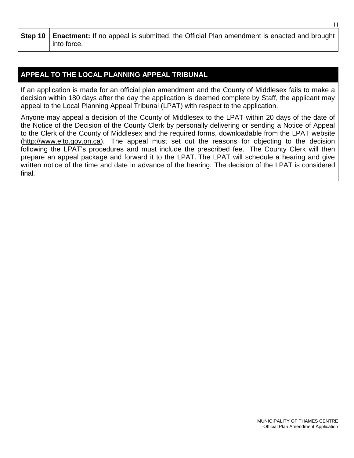**Step 10 Enactment:** If no appeal is submitted, the Official Plan amendment is enacted and brought into force.

### **APPEAL TO THE LOCAL PLANNING APPEAL TRIBUNAL**

If an application is made for an official plan amendment and the County of Middlesex fails to make a decision within 180 days after the day the application is deemed complete by Staff, the applicant may appeal to the Local Planning Appeal Tribunal (LPAT) with respect to the application.

Anyone may appeal a decision of the County of Middlesex to the LPAT within 20 days of the date of the Notice of the Decision of the County Clerk by personally delivering or sending a Notice of Appeal to the Clerk of the County of Middlesex and the required forms, downloadable from the LPAT website [\(http://www.elto.gov.on.ca\)](http://www.elto.gov.on.ca/). The appeal must set out the reasons for objecting to the decision following the LPAT's procedures and must include the prescribed fee. The County Clerk will then prepare an appeal package and forward it to the LPAT. The LPAT will schedule a hearing and give written notice of the time and date in advance of the hearing. The decision of the LPAT is considered final.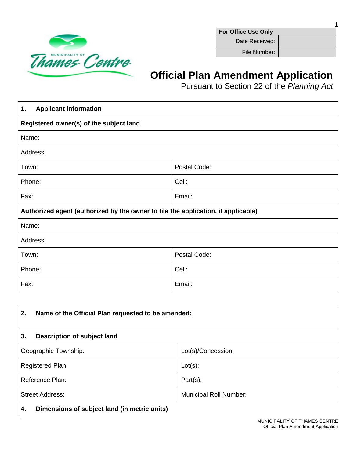

**For Office Use Only**

1

Date Received:

File Number:

# **Official Plan Amendment Application**

Pursuant to Section 22 of the *Planning Act*

| <b>Applicant information</b><br>1.                                                |        |  |  |  |
|-----------------------------------------------------------------------------------|--------|--|--|--|
| Registered owner(s) of the subject land                                           |        |  |  |  |
| Name:                                                                             |        |  |  |  |
| Address:                                                                          |        |  |  |  |
| Postal Code:<br>Town:                                                             |        |  |  |  |
| Phone:                                                                            | Cell:  |  |  |  |
| Fax:                                                                              | Email: |  |  |  |
| Authorized agent (authorized by the owner to file the application, if applicable) |        |  |  |  |
| Name:                                                                             |        |  |  |  |
| Address:                                                                          |        |  |  |  |
| Postal Code:<br>Town:                                                             |        |  |  |  |
| Cell:<br>Phone:                                                                   |        |  |  |  |
| Email:<br>Fax:                                                                    |        |  |  |  |

| 2.                                                 | Name of the Official Plan requested to be amended: |  |  |
|----------------------------------------------------|----------------------------------------------------|--|--|
| Description of subject land<br>3.                  |                                                    |  |  |
| Geographic Township:                               | Lot(s)/Concession:                                 |  |  |
| Registered Plan:                                   | $Lot(s)$ :                                         |  |  |
| Reference Plan:                                    | $Part(s)$ :                                        |  |  |
| <b>Street Address:</b>                             | <b>Municipal Roll Number:</b>                      |  |  |
| Dimensions of subject land (in metric units)<br>4. |                                                    |  |  |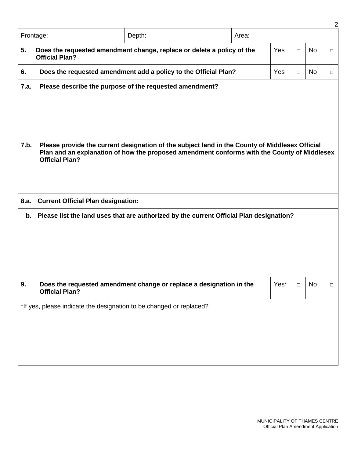|                                                                     |                                                                                                                               |                                                                                                |       |      |        |           | 2      |
|---------------------------------------------------------------------|-------------------------------------------------------------------------------------------------------------------------------|------------------------------------------------------------------------------------------------|-------|------|--------|-----------|--------|
|                                                                     | Frontage:                                                                                                                     | Depth:                                                                                         | Area: |      |        |           |        |
| 5.                                                                  | Does the requested amendment change, replace or delete a policy of the<br>Yes<br><b>No</b><br>$\Box$<br><b>Official Plan?</b> |                                                                                                |       |      |        | $\Box$    |        |
| 6.                                                                  |                                                                                                                               | Does the requested amendment add a policy to the Official Plan?                                |       | Yes  | $\Box$ | <b>No</b> | $\Box$ |
| 7.a.                                                                |                                                                                                                               | Please describe the purpose of the requested amendment?                                        |       |      |        |           |        |
|                                                                     |                                                                                                                               |                                                                                                |       |      |        |           |        |
|                                                                     |                                                                                                                               |                                                                                                |       |      |        |           |        |
|                                                                     |                                                                                                                               |                                                                                                |       |      |        |           |        |
| 7.b.                                                                |                                                                                                                               | Please provide the current designation of the subject land in the County of Middlesex Official |       |      |        |           |        |
|                                                                     | <b>Official Plan?</b>                                                                                                         | Plan and an explanation of how the proposed amendment conforms with the County of Middlesex    |       |      |        |           |        |
|                                                                     |                                                                                                                               |                                                                                                |       |      |        |           |        |
|                                                                     |                                                                                                                               |                                                                                                |       |      |        |           |        |
| 8.a.                                                                | <b>Current Official Plan designation:</b>                                                                                     |                                                                                                |       |      |        |           |        |
| b.                                                                  | Please list the land uses that are authorized by the current Official Plan designation?                                       |                                                                                                |       |      |        |           |        |
|                                                                     |                                                                                                                               |                                                                                                |       |      |        |           |        |
|                                                                     |                                                                                                                               |                                                                                                |       |      |        |           |        |
|                                                                     |                                                                                                                               |                                                                                                |       |      |        |           |        |
|                                                                     |                                                                                                                               |                                                                                                |       |      |        |           |        |
| 9.                                                                  |                                                                                                                               | Does the requested amendment change or replace a designation in the                            |       | Yes* | $\Box$ | No        | $\Box$ |
|                                                                     | <b>Official Plan?</b>                                                                                                         |                                                                                                |       |      |        |           |        |
| *If yes, please indicate the designation to be changed or replaced? |                                                                                                                               |                                                                                                |       |      |        |           |        |
|                                                                     |                                                                                                                               |                                                                                                |       |      |        |           |        |
|                                                                     |                                                                                                                               |                                                                                                |       |      |        |           |        |
|                                                                     |                                                                                                                               |                                                                                                |       |      |        |           |        |
|                                                                     |                                                                                                                               |                                                                                                |       |      |        |           |        |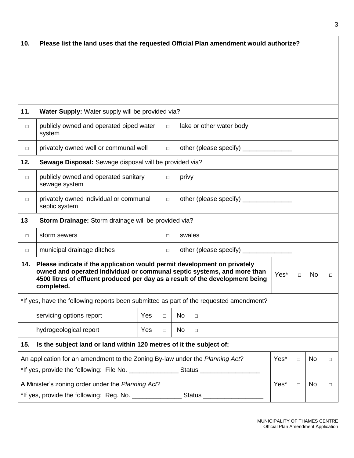| 10.                                                                        | Please list the land uses that the requested Official Plan amendment would authorize?                                                                                                                                                                                                 |        |                                    |  |        |  |  |
|----------------------------------------------------------------------------|---------------------------------------------------------------------------------------------------------------------------------------------------------------------------------------------------------------------------------------------------------------------------------------|--------|------------------------------------|--|--------|--|--|
|                                                                            |                                                                                                                                                                                                                                                                                       |        |                                    |  |        |  |  |
|                                                                            |                                                                                                                                                                                                                                                                                       |        |                                    |  |        |  |  |
|                                                                            |                                                                                                                                                                                                                                                                                       |        |                                    |  |        |  |  |
| 11.                                                                        | Water Supply: Water supply will be provided via?                                                                                                                                                                                                                                      |        |                                    |  |        |  |  |
| $\Box$                                                                     | publicly owned and operated piped water<br>system                                                                                                                                                                                                                                     | $\Box$ | lake or other water body           |  |        |  |  |
| $\Box$                                                                     | privately owned well or communal well                                                                                                                                                                                                                                                 | $\Box$ | other (please specify) _________   |  |        |  |  |
| 12.                                                                        | Sewage Disposal: Sewage disposal will be provided via?                                                                                                                                                                                                                                |        |                                    |  |        |  |  |
| $\Box$                                                                     | publicly owned and operated sanitary<br>sewage system                                                                                                                                                                                                                                 | $\Box$ | privy                              |  |        |  |  |
| $\Box$                                                                     | privately owned individual or communal<br>septic system                                                                                                                                                                                                                               | $\Box$ | other (please specify) ___________ |  |        |  |  |
| 13                                                                         | Storm Drainage: Storm drainage will be provided via?                                                                                                                                                                                                                                  |        |                                    |  |        |  |  |
| $\Box$                                                                     | storm sewers                                                                                                                                                                                                                                                                          | $\Box$ | swales                             |  |        |  |  |
| $\Box$                                                                     | other (please specify) __________<br>municipal drainage ditches<br>$\Box$                                                                                                                                                                                                             |        |                                    |  |        |  |  |
| 14.                                                                        | Please indicate if the application would permit development on privately<br>owned and operated individual or communal septic systems, and more than<br>Yes*<br>No.<br>$\Box$<br>$\Box$<br>4500 litres of effluent produced per day as a result of the development being<br>completed. |        |                                    |  |        |  |  |
|                                                                            | *If yes, have the following reports been submitted as part of the requested amendment?                                                                                                                                                                                                |        |                                    |  |        |  |  |
|                                                                            | servicing options report<br>Yes<br>No<br>$\Box$<br>$\Box$                                                                                                                                                                                                                             |        |                                    |  |        |  |  |
|                                                                            | hydrogeological report<br>Yes<br>No<br>$\Box$<br>$\Box$                                                                                                                                                                                                                               |        |                                    |  |        |  |  |
| Is the subject land or land within 120 metres of it the subject of:<br>15. |                                                                                                                                                                                                                                                                                       |        |                                    |  |        |  |  |
|                                                                            | An application for an amendment to the Zoning By-law under the Planning Act?<br>Yes*<br>No<br>$\Box$                                                                                                                                                                                  |        |                                    |  | $\Box$ |  |  |
|                                                                            | A Minister's zoning order under the Planning Act?<br>Yes*<br>No<br>$\Box$                                                                                                                                                                                                             |        |                                    |  | $\Box$ |  |  |
|                                                                            | *If yes, provide the following: Reg. No. ___________________Status ______________                                                                                                                                                                                                     |        |                                    |  |        |  |  |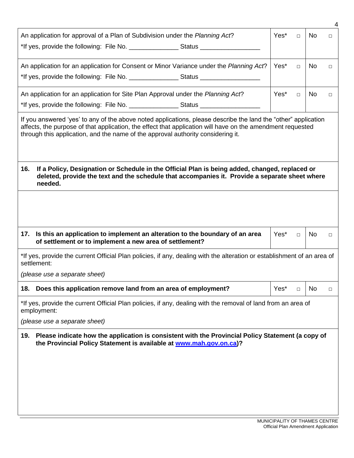|                                                                                                                                                                                                                                                                                                                  |      |        |                | 4      |  |
|------------------------------------------------------------------------------------------------------------------------------------------------------------------------------------------------------------------------------------------------------------------------------------------------------------------|------|--------|----------------|--------|--|
| An application for approval of a Plan of Subdivision under the Planning Act?                                                                                                                                                                                                                                     | Yes* | $\Box$ | No.            | $\Box$ |  |
| An application for an application for Consent or Minor Variance under the Planning Act?                                                                                                                                                                                                                          | Yes* | $\Box$ | No.            | $\Box$ |  |
| An application for an application for Site Plan Approval under the Planning Act?                                                                                                                                                                                                                                 | Yes* | $\Box$ | N <sub>o</sub> | П      |  |
| If you answered 'yes' to any of the above noted applications, please describe the land the "other" application<br>affects, the purpose of that application, the effect that application will have on the amendment requested<br>through this application, and the name of the approval authority considering it. |      |        |                |        |  |
| 16.<br>If a Policy, Designation or Schedule in the Official Plan is being added, changed, replaced or<br>deleted, provide the text and the schedule that accompanies it. Provide a separate sheet where<br>needed.                                                                                               |      |        |                |        |  |
|                                                                                                                                                                                                                                                                                                                  |      |        |                |        |  |
| Is this an application to implement an alteration to the boundary of an area<br>17.<br>of settlement or to implement a new area of settlement?                                                                                                                                                                   | Yes* | $\Box$ | N <sub>o</sub> | $\Box$ |  |
| *If yes, provide the current Official Plan policies, if any, dealing with the alteration or establishment of an area of<br>settlement:                                                                                                                                                                           |      |        |                |        |  |
| (please use a separate sheet)                                                                                                                                                                                                                                                                                    |      |        |                |        |  |
| 18.<br>Does this application remove land from an area of employment?                                                                                                                                                                                                                                             | Yes* | $\Box$ | No.            | $\Box$ |  |
| *If yes, provide the current Official Plan policies, if any, dealing with the removal of land from an area of<br>employment:                                                                                                                                                                                     |      |        |                |        |  |
| (please use a separate sheet)                                                                                                                                                                                                                                                                                    |      |        |                |        |  |
| Please indicate how the application is consistent with the Provincial Policy Statement (a copy of<br>19.<br>the Provincial Policy Statement is available at www.mah.gov.on.ca)?                                                                                                                                  |      |        |                |        |  |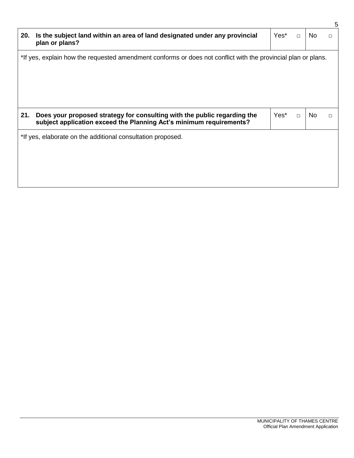| 20.                                                                                                           | Is the subject land within an area of land designated under any provincial<br>plan or plans?                                                    | Yes* | $\Box$ | No.            | $\Box$ |
|---------------------------------------------------------------------------------------------------------------|-------------------------------------------------------------------------------------------------------------------------------------------------|------|--------|----------------|--------|
| *If yes, explain how the requested amendment conforms or does not conflict with the provincial plan or plans. |                                                                                                                                                 |      |        |                |        |
| 21.                                                                                                           | Does your proposed strategy for consulting with the public regarding the<br>subject application exceed the Planning Act's minimum requirements? | Yes* | $\Box$ | N <sub>o</sub> | П      |
| *If yes, elaborate on the additional consultation proposed.                                                   |                                                                                                                                                 |      |        |                |        |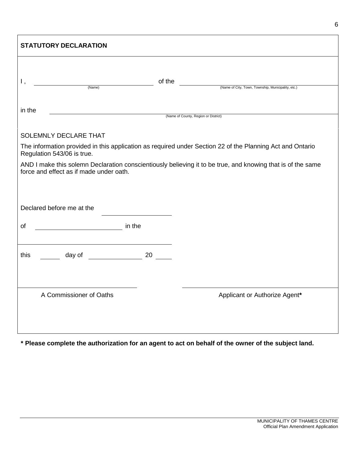| <b>STATUTORY DECLARATION</b>                                                                                                                           |                                                                                                           |  |  |  |  |
|--------------------------------------------------------------------------------------------------------------------------------------------------------|-----------------------------------------------------------------------------------------------------------|--|--|--|--|
| Ι,<br>(Name)                                                                                                                                           | of the<br>(Name of City, Town, Township, Municipality, etc.)                                              |  |  |  |  |
| in the                                                                                                                                                 | (Name of County, Region or District)                                                                      |  |  |  |  |
| <b>SOLEMNLY DECLARE THAT</b>                                                                                                                           |                                                                                                           |  |  |  |  |
| Regulation 543/06 is true.                                                                                                                             | The information provided in this application as required under Section 22 of the Planning Act and Ontario |  |  |  |  |
| AND I make this solemn Declaration conscientiously believing it to be true, and knowing that is of the same<br>force and effect as if made under oath. |                                                                                                           |  |  |  |  |
| Declared before me at the                                                                                                                              |                                                                                                           |  |  |  |  |
| <b><i>Example 19 (1995)</i></b> <i>Research in the</i><br>οf                                                                                           |                                                                                                           |  |  |  |  |
| day of a series of the series of the 20 and 20<br>this                                                                                                 |                                                                                                           |  |  |  |  |
| A Commissioner of Oaths                                                                                                                                | Applicant or Authorize Agent*                                                                             |  |  |  |  |

**\* Please complete the authorization for an agent to act on behalf of the owner of the subject land.**